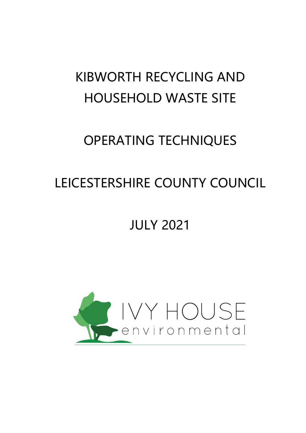# KIBWORTH RECYCLING AND HOUSEHOLD WASTE SITE

# OPERATING TECHNIQUES

# LEICESTERSHIRE COUNTY COUNCIL

# JULY 2021

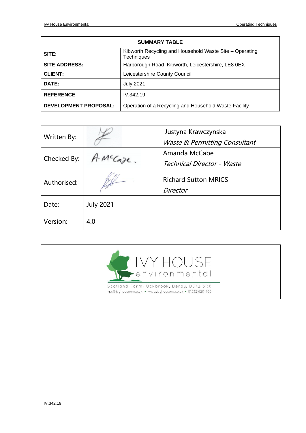| <b>SUMMARY TABLE</b>         |                                                                              |
|------------------------------|------------------------------------------------------------------------------|
| SITE:                        | Kibworth Recycling and Household Waste Site - Operating<br><b>Techniques</b> |
| <b>SITE ADDRESS:</b>         | Harborough Road, Kibworth, Leicestershire, LE8 0EX                           |
| <b>CLIENT:</b>               | Leicestershire County Council                                                |
| DATE:                        | <b>July 2021</b>                                                             |
| <b>REFERENCE</b>             | IV.342.19                                                                    |
| <b>DEVELOPMENT PROPOSAL:</b> | Operation of a Recycling and Household Waste Facility                        |

| Written By: |                  | Justyna Krawczynska<br>Waste & Permitting Consultant |
|-------------|------------------|------------------------------------------------------|
|             |                  |                                                      |
| Checked By: | MCCoze           | Amanda McCabe                                        |
|             |                  | Technical Director - Waste                           |
| Authorised: |                  | <b>Richard Sutton MRICS</b><br>Director              |
|             |                  |                                                      |
| Date:       | <b>July 2021</b> |                                                      |
| Version:    | 4.0              |                                                      |

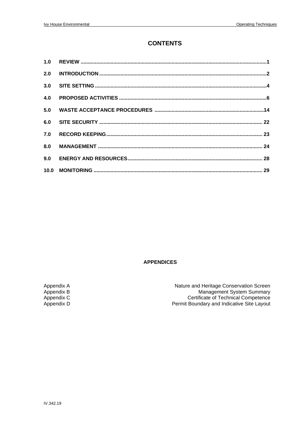#### **CONTENTS**

#### **APPENDICES**

Appendix A Appendix B Appendix C<br>Appendix D

Nature and Heritage Conservation Screen Management System Summary<br>Certificate of Technical Competence Permit Boundary and Indicative Site Layout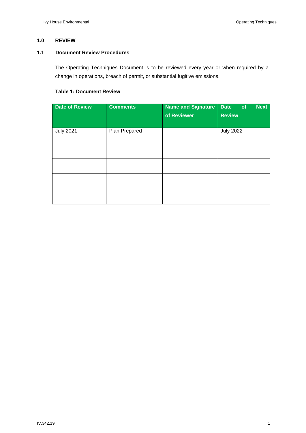#### **1.0 REVIEW**

#### **1.1 Document Review Procedures**

The Operating Techniques Document is to be reviewed every year or when required by a change in operations, breach of permit, or substantial fugitive emissions.

#### **Table 1: Document Review**

| <b>Date of Review</b> | <b>Comments</b> | <b>Name and Signature</b><br>of Reviewer | Date<br><b>Next</b><br>of<br><b>Review</b> |
|-----------------------|-----------------|------------------------------------------|--------------------------------------------|
| <b>July 2021</b>      | Plan Prepared   |                                          | <b>July 2022</b>                           |
|                       |                 |                                          |                                            |
|                       |                 |                                          |                                            |
|                       |                 |                                          |                                            |
|                       |                 |                                          |                                            |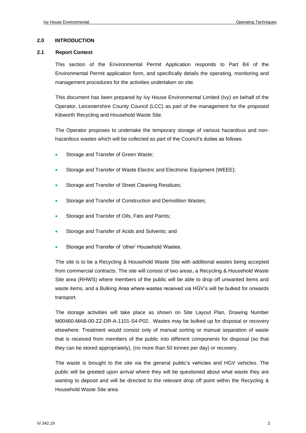#### **2.0 INTRODUCTION**

#### **2.1 Report Context**

This section of the Environmental Permit Application responds to Part B4 of the Environmental Permit application form, and specifically details the operating, monitoring and management procedures for the activities undertaken on site.

This document has been prepared by Ivy House Environmental Limited (Ivy) on behalf of the Operator, Leicestershire County Council (LCC) as part of the management for the proposed Kibworth Recycling and Household Waste Site.

The Operator proposes to undertake the temporary storage of various hazardous and nonhazardous wastes which will be collected as part of the Council's duties as follows:

- Storage and Transfer of Green Waste;
- Storage and Transfer of Waste Electric and Electronic Equipment (WEEE);
- Storage and Transfer of Street Cleaning Residues;
- Storage and Transfer of Construction and Demolition Wastes;
- Storage and Transfer of Oils, Fats and Paints;
- Storage and Transfer of Acids and Solvents; and
- Storage and Transfer of 'other' Household Wastes.

The site is to be a Recycling & Household Waste Site with additional wastes being accepted from commercial contracts. The site will consist of two areas, a Recycling & Household Waste Site area (RHWS) where members of the public will be able to drop off unwanted items and waste items, and a Bulking Area where wastes received via HGV's will be bulked for onwards transport.

The storage activities will take place as shown on Site Layout Plan, Drawing Number M00460-MAB-00-ZZ-DR-A-1101-S4-P02. Wastes may be bulked up for disposal or recovery elsewhere. Treatment would consist only of manual sorting or manual separation of waste that is received from members of the public into different components for disposal (so that they can be stored appropriately), (no more than 50 tonnes per day) or recovery.

The waste is brought to the site via the general public's vehicles and HGV vehicles. The public will be greeted upon arrival where they will be questioned about what waste they are wanting to deposit and will be directed to the relevant drop off point within the Recycling & Household Waste Site area.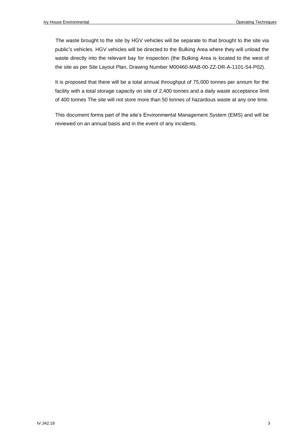The waste brought to the site by HGV vehicles will be separate to that brought to the site via public's vehicles. HGV vehicles will be directed to the Bulking Area where they will unload the waste directly into the relevant bay for inspection (the Bulking Area is located to the west of the site as per Site Layout Plan, Drawing Number M00460-MAB-00-ZZ-DR-A-1101-S4-P02).

It is proposed that there will be a total annual throughput of 75,000 tonnes per annum for the facility with a total storage capacity on site of 2,400 tonnes and a daily waste acceptance limit of 400 tonnes The site will not store more than 50 tonnes of hazardous waste at any one time.

This document forms part of the site's Environmental Management System (EMS) and will be reviewed on an annual basis and in the event of any incidents.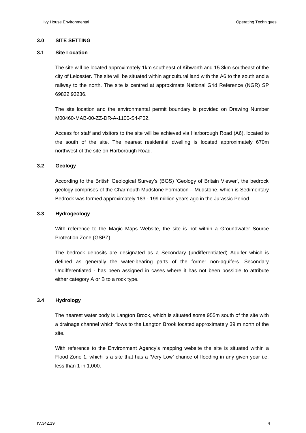#### **3.0 SITE SETTING**

#### **3.1 Site Location**

The site will be located approximately 1km southeast of Kibworth and 15.3km southeast of the city of Leicester. The site will be situated within agricultural land with the A6 to the south and a railway to the north. The site is centred at approximate National Grid Reference (NGR) SP 69822 93236.

The site location and the environmental permit boundary is provided on Drawing Number M00460-MAB-00-ZZ-DR-A-1100-S4-P02.

Access for staff and visitors to the site will be achieved via Harborough Road (A6), located to the south of the site. The nearest residential dwelling is located approximately 670m northwest of the site on Harborough Road.

#### **3.2 Geology**

According to the British Geological Survey's (BGS) 'Geology of Britain Viewer', the bedrock geology comprises of the Charmouth Mudstone Formation – Mudstone, which is Sedimentary Bedrock was formed approximately 183 - 199 million years ago in the Jurassic Period.

#### **3.3 Hydrogeology**

With reference to the Magic Maps Website, the site is not within a Groundwater Source Protection Zone (GSPZ).

The bedrock deposits are designated as a Secondary (undifferentiated) Aquifer which is defined as generally the water-bearing parts of the former non-aquifers. Secondary Undifferentiated - has been assigned in cases where it has not been possible to attribute either category A or B to a rock type.

#### **3.4 Hydrology**

The nearest water body is Langton Brook, which is situated some 955m south of the site with a drainage channel which flows to the Langton Brook located approximately 39 m north of the site.

With reference to the Environment Agency's mapping website the site is situated within a Flood Zone 1, which is a site that has a 'Very Low' chance of flooding in any given year i.e. less than 1 in 1,000.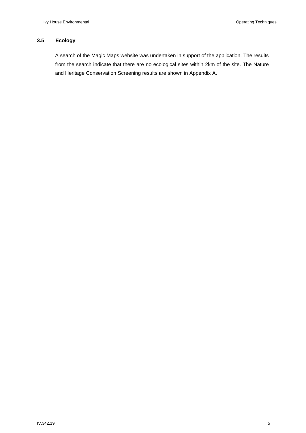#### **3.5 Ecology**

A search of the Magic Maps website was undertaken in support of the application. The results from the search indicate that there are no ecological sites within 2km of the site. The Nature and Heritage Conservation Screening results are shown in Appendix A.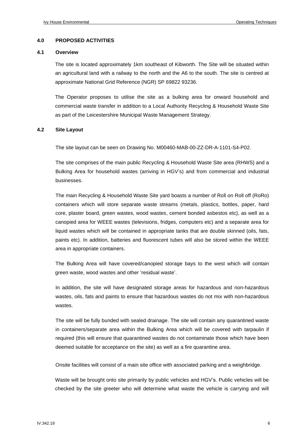#### **4.0 PROPOSED ACTIVITIES**

#### **4.1 Overview**

The site is located approximately 1km southeast of Kibworth. The Site will be situated within an agricultural land with a railway to the north and the A6 to the south. The site is centred at approximate National Grid Reference (NGR) SP 69822 93236.

The Operator proposes to utilise the site as a bulking area for onward household and commercial waste transfer in addition to a Local Authority Recycling & Household Waste Site as part of the Leicestershire Municipal Waste Management Strategy.

#### **4.2 Site Layout**

The site layout can be seen on Drawing No. M00460-MAB-00-ZZ-DR-A-1101-S4-P02.

The site comprises of the main public Recycling & Household Waste Site area (RHWS) and a Bulking Area for household wastes (arriving in HGV's) and from commercial and industrial businesses.

The main Recycling & Household Waste Site yard boasts a number of Roll on Roll off (RoRo) containers which will store separate waste streams (metals, plastics, bottles, paper, hard core, plaster board, green wastes, wood wastes, cement bonded asbestos etc), as well as a canopied area for WEEE wastes (televisions, fridges, computers etc) and a separate area for liquid wastes which will be contained in appropriate tanks that are double skinned (oils, fats, paints etc). In addition, batteries and fluorescent tubes will also be stored within the WEEE area in appropriate containers.

The Bulking Area will have covered/canopied storage bays to the west which will contain green waste, wood wastes and other 'residual waste'.

In addition, the site will have designated storage areas for hazardous and non-hazardous wastes, oils, fats and paints to ensure that hazardous wastes do not mix with non-hazardous wastes.

The site will be fully bunded with sealed drainage. The site will contain any quarantined waste in containers/separate area within the Bulking Area which will be covered with tarpaulin if required (this will ensure that quarantined wastes do not contaminate those which have been deemed suitable for acceptance on the site) as well as a fire quarantine area.

Onsite facilities will consist of a main site office with associated parking and a weighbridge.

Waste will be brought onto site primarily by public vehicles and HGV's. Public vehicles will be checked by the site greeter who will determine what waste the vehicle is carrying and will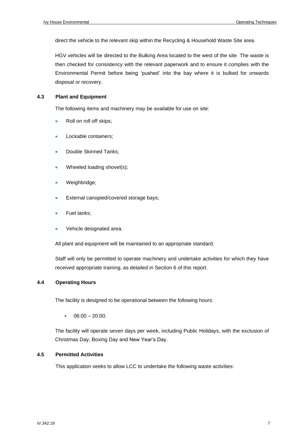direct the vehicle to the relevant skip within the Recycling & Household Waste Site area.

HGV vehicles will be directed to the Bulking Area located to the west of the site. The waste is then checked for consistency with the relevant paperwork and to ensure it complies with the Environmental Permit before being 'pushed' into the bay where it is bulked for onwards disposal or recovery.

#### **4.3 Plant and Equipment**

The following items and machinery may be available for use on site:

- Roll on roll off skips;
- Lockable containers;
- Double Skinned Tanks;
- Wheeled loading shovel(s);
- Weighbridge;
- External canopied/covered storage bays;
- Fuel tanks;
- Vehicle designated area.

All plant and equipment will be maintained to an appropriate standard.

Staff will only be permitted to operate machinery and undertake activities for which they have received appropriate training, as detailed in Section 6 of this report.

#### **4.4 Operating Hours**

The facility is designed to be operational between the following hours:

 $06:00 - 20:00$ .

The facility will operate seven days per week, including Public Holidays, with the exclusion of Christmas Day, Boxing Day and New Year's Day.

#### **4.5 Permitted Activities**

This application seeks to allow LCC to undertake the following waste activities: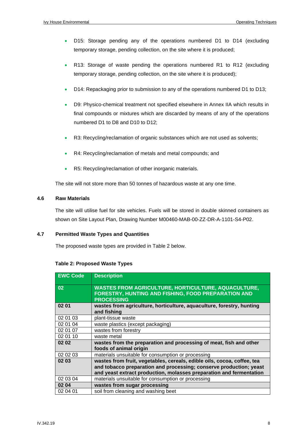- D15: Storage pending any of the operations numbered D1 to D14 (excluding temporary storage, pending collection, on the site where it is produced;
- R13: Storage of waste pending the operations numbered R1 to R12 (excluding temporary storage, pending collection, on the site where it is produced);
- D14: Repackaging prior to submission to any of the operations numbered D1 to D13;
- D9: Physico-chemical treatment not specified elsewhere in Annex IIA which results in final compounds or mixtures which are discarded by means of any of the operations numbered D1 to D8 and D10 to D12;
- R3: Recycling/reclamation of organic substances which are not used as solvents;
- R4: Recycling/reclamation of metals and metal compounds; and
- R5: Recycling/reclamation of other inorganic materials.

The site will not store more than 50 tonnes of hazardous waste at any one time.

#### **4.6 Raw Materials**

The site will utilise fuel for site vehicles. Fuels will be stored in double skinned containers as shown on Site Layout Plan, Drawing Number M00460-MAB-00-ZZ-DR-A-1101-S4-P02.

#### **4.7 Permitted Waste Types and Quantities**

The proposed waste types are provided in Table 2 below.

#### **Table 2: Proposed Waste Types**

| <b>EWC Code</b> | <b>Description</b>                                                                                                                                                                                                   |
|-----------------|----------------------------------------------------------------------------------------------------------------------------------------------------------------------------------------------------------------------|
| 02              | <b>WASTES FROM AGRICULTURE, HORTICULTURE, AQUACULTURE,</b><br><b>FORESTRY, HUNTING AND FISHING, FOOD PREPARATION AND</b><br><b>PROCESSING</b>                                                                        |
| 02 01           | wastes from agriculture, horticulture, aquaculture, forestry, hunting<br>and fishing                                                                                                                                 |
| 02 01 03        | plant-tissue waste                                                                                                                                                                                                   |
| 02 01 04        | waste plastics (except packaging)                                                                                                                                                                                    |
| 02 01 07        | wastes from forestry                                                                                                                                                                                                 |
| 02 01 10        | waste metal                                                                                                                                                                                                          |
| 02 02           | wastes from the preparation and processing of meat, fish and other                                                                                                                                                   |
|                 | foods of animal origin                                                                                                                                                                                               |
| 02 02 03        | materials unsuitable for consumption or processing                                                                                                                                                                   |
| 02 03           | wastes from fruit, vegetables, cereals, edible oils, cocoa, coffee, tea<br>and tobacco preparation and processing; conserve production; yeast<br>and yeast extract production, molasses preparation and fermentation |
| 02 03 04        | materials unsuitable for consumption or processing                                                                                                                                                                   |
| 02 04           | wastes from sugar processing                                                                                                                                                                                         |
| 02 04 01        | soil from cleaning and washing beet                                                                                                                                                                                  |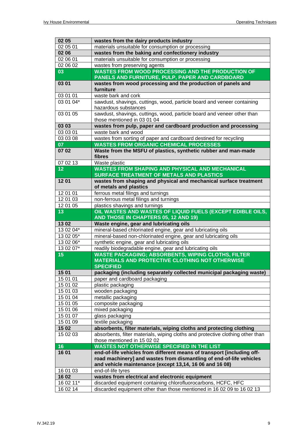| 02 05                | wastes from the dairy products industry                                                                                                       |
|----------------------|-----------------------------------------------------------------------------------------------------------------------------------------------|
| 02 05 01             | materials unsuitable for consumption or processing                                                                                            |
| 02 06                | wastes from the baking and confectionery industry                                                                                             |
| 02 06 01             | materials unsuitable for consumption or processing                                                                                            |
| 02 06 02             | wastes from preserving agents                                                                                                                 |
| 03                   | <b>WASTES FROM WOOD PROCESSING AND THE PRODUCTION OF</b>                                                                                      |
|                      | PANELS AND FURNITURE, PULP, PAPER AND CARDBOARD                                                                                               |
| 03 01                | wastes from wood processing and the production of panels and                                                                                  |
|                      | furniture                                                                                                                                     |
| 03 01 01             | waste bark and cork                                                                                                                           |
| 03 01 04*            | sawdust, shavings, cuttings, wood, particle board and veneer containing                                                                       |
|                      | hazardous substances                                                                                                                          |
| 03 01 05             | sawdust, shavings, cuttings, wood, particle board and veneer other than                                                                       |
|                      | those mentioned in 03 01 04                                                                                                                   |
| 03 03                | wastes from pulp, paper and cardboard production and processing                                                                               |
| 03 03 01             | waste bark and wood                                                                                                                           |
| 03 03 08             | wastes from sorting of paper and cardboard destined for recycling                                                                             |
| 07                   | <b>WASTES FROM ORGANIC CHEMICAL PROCESSES</b>                                                                                                 |
| 0702                 | Waste from the MSFU of plastics, synthetic rubber and man-made                                                                                |
|                      | fibres                                                                                                                                        |
| 07 02 13             | Waste plastic                                                                                                                                 |
| 12                   | <b>WASTES FROM SHAPING AND PHYSICAL AND MECHANICAL</b>                                                                                        |
|                      | SURFACE TREATMENT OF METALS AND PLASTICS                                                                                                      |
| 1201                 | wastes from shaping and physical and mechanical surface treatment                                                                             |
|                      | of metals and plastics                                                                                                                        |
| 12 01 01<br>12 01 03 | ferrous metal filings and turnings<br>non-ferrous metal filings and turnings                                                                  |
| 12 01 05             | plastics shavings and turnings                                                                                                                |
| 13                   | OIL WASTES AND WASTES OF LIQUID FUELS (EXCEPT EDIBLE OILS,                                                                                    |
|                      | AND THOSE IN CHAPTERS 05, 12 AND 19)                                                                                                          |
| 1302                 | Waste engine, gear and lubricating oils                                                                                                       |
| 13 02 04*            | mineral-based chlorinated engine, gear and lubricating oils                                                                                   |
| 13 02 05*            | mineral-based non-chlorinated engine, gear and lubricating oils                                                                               |
| 13 02 06*            | synthetic engine, gear and lubricating oils                                                                                                   |
| 13 02 07*            | readily biodegradable engine, gear and lubricating oils                                                                                       |
| 15                   | <b>WASTE PACKAGING; ABSORBENTS, WIPING CLOTHS, FILTER</b>                                                                                     |
|                      | MATERIALS AND PROTECTIVE CLOTHING NOT OTHERWISE                                                                                               |
|                      | <b>SPECIFIED</b>                                                                                                                              |
| 15 01                | packaging (including separately collected municipal packaging waste)                                                                          |
| 15 01 01             | paper and cardboard packaging                                                                                                                 |
| 15 01 02             | plastic packaging                                                                                                                             |
| 15 01 03             | wooden packaging                                                                                                                              |
| 15 01 04             | metallic packaging                                                                                                                            |
| 15 01 05             | composite packaging                                                                                                                           |
| 15 01 06             | mixed packaging                                                                                                                               |
| 15 01 07             | glass packaging                                                                                                                               |
| 15 01 09             | textile packaging                                                                                                                             |
| 15 02                | absorbents, filter materials, wiping cloths and protecting clothing                                                                           |
| 15 02 03             | absorbents, filter materials, wiping cloths and protective clothing other than                                                                |
|                      | those mentioned in 15 02 02<br><b>WASTES NOT OTHERWISE SPECIFIED IN THE LIST</b>                                                              |
| 16                   |                                                                                                                                               |
| 16 01                | end-of-life vehicles from different means of transport [including off-<br>road machinery] and wastes from dismantling of end-of-life vehicles |
|                      | and vehicle maintenance (except 13,14, 16 06 and 16 08)                                                                                       |
| 16 01 03             | end-of-life tyres                                                                                                                             |
| 16 02                | wastes from electrical and electronic equipment                                                                                               |
| 16 02 11*            | discarded equipment containing chlorofluorocarbons, HCFC, HFC                                                                                 |
| 16 02 14             | discarded equipment other than those mentioned in 16 02 09 to 16 02 13                                                                        |
|                      |                                                                                                                                               |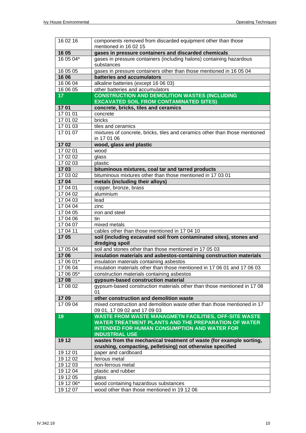| 16 02 16        | components removed from discarded equipment other than those<br>mentioned in 16 02 15 |
|-----------------|---------------------------------------------------------------------------------------|
| 16 05           | gases in pressure containers and discarded chemicals                                  |
| 16 05 04*       | gases in pressure containers (including halons) containing hazardous                  |
|                 | substances                                                                            |
| 16 05 05        | gases in pressure containers other than those mentioned in 16 05 04                   |
| 16 06           | batteries and accumulators                                                            |
| 16 06 04        | alkaline batteries (except 16 06 03)                                                  |
| 16 06 05        | other batteries and accumulators                                                      |
| 17 <sub>2</sub> | <b>CONSTRUCTION AND DEMOLITION WASTES (INCLUDING</b>                                  |
|                 | <b>EXCAVATED SOIL FROM CONTAMINATED SITES)</b>                                        |
| 1701            | concrete, bricks, tiles and ceramics                                                  |
| 17 01 01        | concrete                                                                              |
| 17 01 02        | bricks                                                                                |
| 17 01 03        | tiles and ceramics                                                                    |
| 17 01 07        | mixtures of concrete, bricks, tiles and ceramics other than those mentioned           |
|                 | in 17 01 06                                                                           |
| 1702            | wood, glass and plastic                                                               |
| 17 02 01        | wood                                                                                  |
| 17 02 02        | glass                                                                                 |
| 17 02 03        | plastic                                                                               |
| 1703            | bituminous mixtures, coal tar and tarred products                                     |
| 17 03 02        | bituminous mixtures other than those mentioned in 17 03 01                            |
| 1704            | metals (including their alloys)                                                       |
| 17 04 01        | copper, bronze, brass                                                                 |
| 17 04 02        | aluminium                                                                             |
| 17 04 03        | lead                                                                                  |
| 17 04 04        | zinc                                                                                  |
| 17 04 05        | iron and steel                                                                        |
| 17 04 06        | tin                                                                                   |
| 17 04 07        | mixed metals                                                                          |
| 17 04 11        | cables other than those mentioned in 17 04 10                                         |
| 1705            | soil (including excavated soil from contaminated sites), stones and<br>dredging spoil |
| 17 05 04        | soil and stones other than those mentioned in 17 05 03                                |
| 1706            | insulation materials and asbestos-containing construction materials                   |
| 17 06 01*       | insulation materials containing asbestos                                              |
| 17 06 04        | insulation materials other than those mentioned in 17 06 01 and 17 06 03              |
| 17 06 05*       | construction materials containing asbestos                                            |
| 1708            | gypsum-based construction material                                                    |
| 17 08 02        | gypsum-based construction materials other than those mentioned in 17 08<br>01         |
| 1709            | other construction and demolition waste                                               |
| 17 09 04        | mixed construction and demolition waste other than those mentioned in 17              |
|                 | 09 01, 17 09 02 and 17 09 03                                                          |
| 19              | <b>WASTE FROM WASTE MANAGMETN FACILITIES, OFF-SITE WASTE</b>                          |
|                 | WATER TREATMENT PLANTS AND THE PREPARATION OF WATER                                   |
|                 | <b>INTENDED FOR HUMAN CONSUMPTION AND WATER FOR</b>                                   |
|                 | <b>INDUSTRIAL USE</b>                                                                 |
| 19 12           | wastes from the mechanical treatment of waste (for example sorting,                   |
|                 | crushing, compacting, pelletising) not otherwise specified                            |
| 19 12 01        | paper and cardboard                                                                   |
| 19 12 02        | ferrous metal                                                                         |
| 19 12 03        | non-ferrous metal                                                                     |
| 19 12 04        | plastic and rubber                                                                    |
| 19 12 05        | glass                                                                                 |
| 19 12 06*       | wood containing hazardous substances                                                  |
| 19 12 07        | wood other than those mentioned in 19 12 06                                           |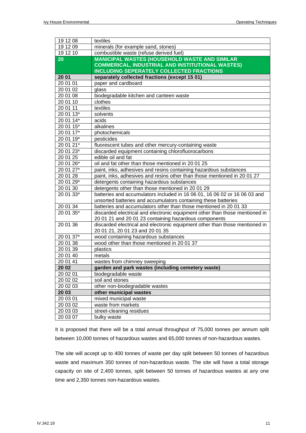| 19 12 08  | textiles                                                                                                                             |
|-----------|--------------------------------------------------------------------------------------------------------------------------------------|
| 19 12 09  | minerals (for example sand, stones)                                                                                                  |
| 19 12 10  | combustible waste (refuse derived fuel)                                                                                              |
| 20        | <b>MANICIPAL WASTES (HOUSEHOLD WASTE AND SIMILAR</b>                                                                                 |
|           | <b>COMMERICAL, INDUSTRIAL AND INSTITUTIONAL WASTES)</b>                                                                              |
|           | <b>INCLUDING SEPERATELY COLLECTED FRACTIONS</b>                                                                                      |
| 20 01     | separately collected fractions (except 15 01)                                                                                        |
| 20 01 01  | paper and cardboard                                                                                                                  |
| 20 01 02  | glass                                                                                                                                |
| 20 01 08  | biodegradable kitchen and canteen waste                                                                                              |
| 20 01 10  | clothes                                                                                                                              |
| 20 01 11  | textiles                                                                                                                             |
| 20 01 13* | solvents                                                                                                                             |
| 20 01 14* | acids                                                                                                                                |
| 20 01 15* | alkalines                                                                                                                            |
| 20 01 17* | photochemicals                                                                                                                       |
| 20 01 19* | pesticides                                                                                                                           |
| 20 01 21* | fluorescent tubes and other mercury-containing waste                                                                                 |
| 20 01 23* | discarded equipment containing chlorofluorocarbons                                                                                   |
| 20 01 25  | edible oil and fat                                                                                                                   |
| 20 01 26* | oil and fat other than those mentioned in 20 01 25                                                                                   |
| 20 01 27* | paint, inks, adhesives and resins containing hazardous substances                                                                    |
| 20 01 28  | paint, inks, adhesives and resins other than those mentioned in 20 01 27                                                             |
| 20 01 29* | detergents containing hazardous substances                                                                                           |
| 20 01 30  | detergents other than those mentioned in 20 01 29                                                                                    |
| 20 01 33* | batteries and accumulators included in 16 06 01, 16 06 02 or 16 06 03 and                                                            |
|           | unsorted batteries and accumulators containing these batteries                                                                       |
| 20 01 34  | batteries and accumulators other than those mentioned in 20 01 33                                                                    |
| 20 01 35* | discarded electrical and electronic equipment other than those mentioned in<br>20 01 21 and 20 01 23 containing hazardous components |
| 20 01 36  | discarded electrical and electronic equipment other than those mentioned in                                                          |
|           | 20 01 21, 20 01 23 and 20 01 35                                                                                                      |
| 20 01 37* | wood containing hazardous substances                                                                                                 |
| 20 01 38  | wood other than those mentioned in 20 01 37                                                                                          |
| 20 01 39  | plastics                                                                                                                             |
| 20 01 40  | metals                                                                                                                               |
| 20 01 41  | wastes from chimney sweeping                                                                                                         |
| 20 02     | garden and park wastes (including cemetery waste)                                                                                    |
| 20 02 01  | biodegradable waste                                                                                                                  |
| 20 02 02  | soil and stones                                                                                                                      |
| 20 02 03  | other non-biodegradable wastes                                                                                                       |
| 20 03     | other municipal wastes                                                                                                               |
| 20 03 01  | mixed municipal waste                                                                                                                |
| 20 03 02  |                                                                                                                                      |
|           | waste from markets                                                                                                                   |
| 20 03 03  | street-cleaning residues                                                                                                             |

It is proposed that there will be a total annual throughput of 75,000 tonnes per annum split between 10,000 tonnes of hazardous wastes and 65,000 tonnes of non-hazardous wastes.

The site will accept up to 400 tonnes of waste per day split between 50 tonnes of hazardous waste and maximum 350 tonnes of non-hazardous waste. The site will have a total storage capacity on site of 2,400 tonnes, split between 50 tonnes of hazardous wastes at any one time and 2,350 tonnes non-hazardous wastes.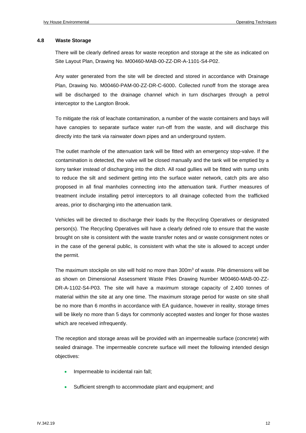#### **4.8 Waste Storage**

There will be clearly defined areas for waste reception and storage at the site as indicated on Site Layout Plan, Drawing No. M00460-MAB-00-ZZ-DR-A-1101-S4-P02.

Any water generated from the site will be directed and stored in accordance with Drainage Plan, Drawing No. M00460-PAM-00-ZZ-DR-C-6000. Collected runoff from the storage area will be discharged to the drainage channel which in turn discharges through a petrol interceptor to the Langton Brook.

To mitigate the risk of leachate contamination, a number of the waste containers and bays will have canopies to separate surface water run-off from the waste, and will discharge this directly into the tank via rainwater down pipes and an underground system.

The outlet manhole of the attenuation tank will be fitted with an emergency stop-valve. If the contamination is detected, the valve will be closed manually and the tank will be emptied by a lorry tanker instead of discharging into the ditch. All road gullies will be fitted with sump units to reduce the silt and sediment getting into the surface water network, catch pits are also proposed in all final manholes connecting into the attenuation tank. Further measures of treatment include installing petrol interceptors to all drainage collected from the trafficked areas, prior to discharging into the attenuation tank.

Vehicles will be directed to discharge their loads by the Recycling Operatives or designated person(s). The Recycling Operatives will have a clearly defined role to ensure that the waste brought on site is consistent with the waste transfer notes and or waste consignment notes or in the case of the general public, is consistent with what the site is allowed to accept under the permit.

The maximum stockpile on site will hold no more than 300m<sup>3</sup> of waste. Pile dimensions will be as shown on Dimensional Assessment Waste Piles Drawing Number M00460-MAB-00-ZZ-DR-A-1102-S4-P03. The site will have a maximum storage capacity of 2,400 tonnes of material within the site at any one time. The maximum storage period for waste on site shall be no more than 6 months in accordance with EA guidance, however in reality, storage times will be likely no more than 5 days for commonly accepted wastes and longer for those wastes which are received infrequently.

The reception and storage areas will be provided with an impermeable surface (concrete) with sealed drainage. The impermeable concrete surface will meet the following intended design objectives:

- Impermeable to incidental rain fall;
- Sufficient strength to accommodate plant and equipment; and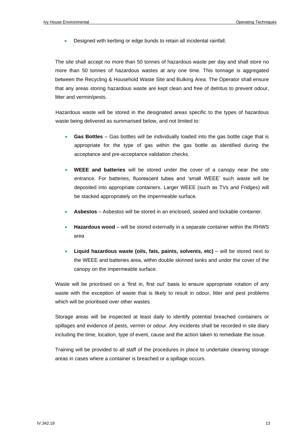• Designed with kerbing or edge bunds to retain all incidental rainfall.

The site shall accept no more than 50 tonnes of hazardous waste per day and shall store no more than 50 tonnes of hazardous wastes at any one time. This tonnage is aggregated between the Recycling & Household Waste Site and Bulking Area. The Operator shall ensure that any areas storing hazardous waste are kept clean and free of detritus to prevent odour, litter and vermin/pests.

Hazardous waste will be stored in the designated areas specific to the types of hazardous waste being delivered as summarised below, and not limited to:

- **Gas Bottles** Gas bottles will be individually loaded into the gas bottle cage that is appropriate for the type of gas within the gas bottle as identified during the acceptance and pre-acceptance validation checks.
- **WEEE and batteries** will be stored under the cover of a canopy near the site entrance. For batteries, fluorescent tubes and 'small WEEE' such waste will be deposited into appropriate containers. Larger WEEE (such as TVs and Fridges) will be stacked appropriately on the impermeable surface.
- **Asbestos** Asbestos will be stored in an enclosed, sealed and lockable container.
- **Hazardous wood** will be stored externally in a separate container within the RHWS area
- **Liquid hazardous waste (oils, fats, paints, solvents, etc)**  will be stored next to the WEEE and batteries area, within double skinned tanks and under the cover of the canopy on the impermeable surface.

Waste will be prioritised on a 'first in, first out' basis to ensure appropriate rotation of any waste with the exception of waste that is likely to result in odour, litter and pest problems which will be prioritised over other wastes.

Storage areas will be inspected at least daily to identify potential breached containers or spillages and evidence of pests, vermin or odour. Any incidents shall be recorded in site diary including the time, location, type of event, cause and the action taken to remediate the issue.

Training will be provided to all staff of the procedures in place to undertake cleaning storage areas in cases where a container is breached or a spillage occurs.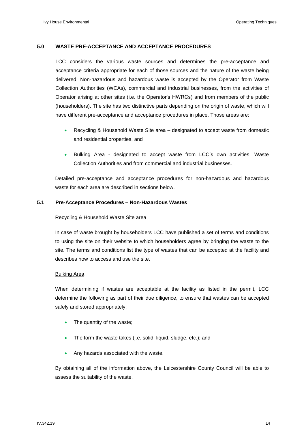#### **5.0 WASTE PRE-ACCEPTANCE AND ACCEPTANCE PROCEDURES**

LCC considers the various waste sources and determines the pre-acceptance and acceptance criteria appropriate for each of those sources and the nature of the waste being delivered. Non-hazardous and hazardous waste is accepted by the Operator from Waste Collection Authorities (WCAs), commercial and industrial businesses, from the activities of Operator arising at other sites (i.e. the Operator's HWRCs) and from members of the public (householders). The site has two distinctive parts depending on the origin of waste, which will have different pre-acceptance and acceptance procedures in place. Those areas are:

- Recycling & Household Waste Site area designated to accept waste from domestic and residential properties, and
- Bulking Area designated to accept waste from LCC's own activities, Waste Collection Authorities and from commercial and industrial businesses.

Detailed pre-acceptance and acceptance procedures for non-hazardous and hazardous waste for each area are described in sections below.

#### **5.1 Pre-Acceptance Procedures – Non-Hazardous Wastes**

#### Recycling & Household Waste Site area

In case of waste brought by householders LCC have published a set of terms and conditions to using the site on their website to which householders agree by bringing the waste to the site. The terms and conditions list the type of wastes that can be accepted at the facility and describes how to access and use the site.

#### Bulking Area

When determining if wastes are acceptable at the facility as listed in the permit, LCC determine the following as part of their due diligence, to ensure that wastes can be accepted safely and stored appropriately:

- The quantity of the waste;
- The form the waste takes (i.e. solid, liquid, sludge, etc.); and
- Any hazards associated with the waste.

By obtaining all of the information above, the Leicestershire County Council will be able to assess the suitability of the waste.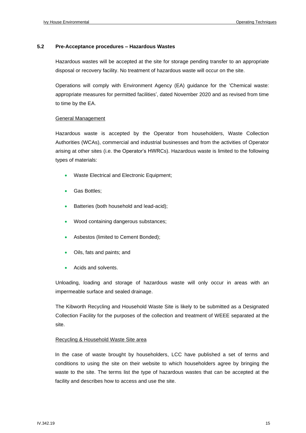#### **5.2 Pre-Acceptance procedures – Hazardous Wastes**

Hazardous wastes will be accepted at the site for storage pending transfer to an appropriate disposal or recovery facility. No treatment of hazardous waste will occur on the site.

Operations will comply with Environment Agency (EA) guidance for the 'Chemical waste: appropriate measures for permitted facilities', dated November 2020 and as revised from time to time by the EA.

#### General Management

Hazardous waste is accepted by the Operator from householders, Waste Collection Authorities (WCAs), commercial and industrial businesses and from the activities of Operator arising at other sites (i.e. the Operator's HWRCs). Hazardous waste is limited to the following types of materials:

- Waste Electrical and Electronic Equipment;
- Gas Bottles:
- Batteries (both household and lead-acid);
- Wood containing dangerous substances;
- Asbestos (limited to Cement Bonded);
- Oils, fats and paints; and
- Acids and solvents.

Unloading, loading and storage of hazardous waste will only occur in areas with an impermeable surface and sealed drainage.

The Kibworth Recycling and Household Waste Site is likely to be submitted as a Designated Collection Facility for the purposes of the collection and treatment of WEEE separated at the site.

#### Recycling & Household Waste Site area

In the case of waste brought by householders, LCC have published a set of terms and conditions to using the site on their website to which householders agree by bringing the waste to the site. The terms list the type of hazardous wastes that can be accepted at the facility and describes how to access and use the site.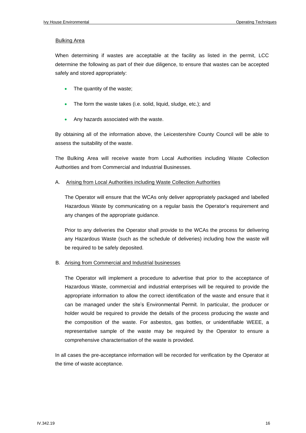#### Bulking Area

When determining if wastes are acceptable at the facility as listed in the permit, LCC determine the following as part of their due diligence, to ensure that wastes can be accepted safely and stored appropriately:

- The quantity of the waste;
- The form the waste takes (i.e. solid, liquid, sludge, etc.); and
- Any hazards associated with the waste.

By obtaining all of the information above, the Leicestershire County Council will be able to assess the suitability of the waste.

The Bulking Area will receive waste from Local Authorities including Waste Collection Authorities and from Commercial and Industrial Businesses.

#### A. Arising from Local Authorities including Waste Collection Authorities

The Operator will ensure that the WCAs only deliver appropriately packaged and labelled Hazardous Waste by communicating on a regular basis the Operator's requirement and any changes of the appropriate guidance.

Prior to any deliveries the Operator shall provide to the WCAs the process for delivering any Hazardous Waste (such as the schedule of deliveries) including how the waste will be required to be safely deposited.

#### B. Arising from Commercial and Industrial businesses

The Operator will implement a procedure to advertise that prior to the acceptance of Hazardous Waste, commercial and industrial enterprises will be required to provide the appropriate information to allow the correct identification of the waste and ensure that it can be managed under the site's Environmental Permit. In particular, the producer or holder would be required to provide the details of the process producing the waste and the composition of the waste. For asbestos, gas bottles, or unidentifiable WEEE, a representative sample of the waste may be required by the Operator to ensure a comprehensive characterisation of the waste is provided.

In all cases the pre-acceptance information will be recorded for verification by the Operator at the time of waste acceptance.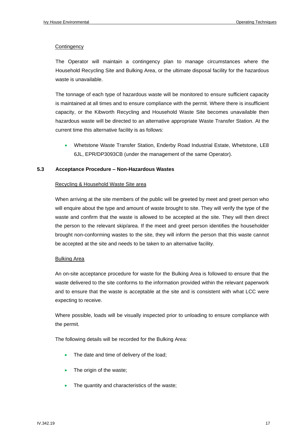#### **Contingency**

The Operator will maintain a contingency plan to manage circumstances where the Household Recycling Site and Bulking Area, or the ultimate disposal facility for the hazardous waste is unavailable.

The tonnage of each type of hazardous waste will be monitored to ensure sufficient capacity is maintained at all times and to ensure compliance with the permit. Where there is insufficient capacity, or the Kibworth Recycling and Household Waste Site becomes unavailable then hazardous waste will be directed to an alternative appropriate Waste Transfer Station. At the current time this alternative facility is as follows:

• Whetstone Waste Transfer Station, Enderby Road Industrial Estate, Whetstone, LE8 6JL, EPR/DP3093CB (under the management of the same Operator).

#### **5.3 Acceptance Procedure – Non-Hazardous Wastes**

#### Recycling & Household Waste Site area

When arriving at the site members of the public will be greeted by meet and greet person who will enquire about the type and amount of waste brought to site. They will verify the type of the waste and confirm that the waste is allowed to be accepted at the site. They will then direct the person to the relevant skip/area. If the meet and greet person identifies the householder brought non-conforming wastes to the site, they will inform the person that this waste cannot be accepted at the site and needs to be taken to an alternative facility.

#### Bulking Area

An on-site acceptance procedure for waste for the Bulking Area is followed to ensure that the waste delivered to the site conforms to the information provided within the relevant paperwork and to ensure that the waste is acceptable at the site and is consistent with what LCC were expecting to receive.

Where possible, loads will be visually inspected prior to unloading to ensure compliance with the permit.

The following details will be recorded for the Bulking Area:

- The date and time of delivery of the load;
- The origin of the waste;
- The quantity and characteristics of the waste;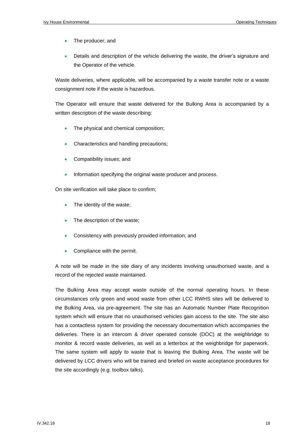- The producer; and
- Details and description of the vehicle delivering the waste, the driver's signature and the Operator of the vehicle.

Waste deliveries, where applicable, will be accompanied by a waste transfer note or a waste consignment note if the waste is hazardous.

The Operator will ensure that waste delivered for the Bulking Area is accompanied by a written description of the waste describing:

- The physical and chemical composition:
- Characteristics and handling precautions;
- Compatibility issues; and
- Information specifying the original waste producer and process.

On site verification will take place to confirm;

- The identity of the waste;
- The description of the waste;
- Consistency with previously provided information; and
- Compliance with the permit.

A note will be made in the site diary of any incidents involving unauthorised waste, and a record of the rejected waste maintained.

The Bulking Area may accept waste outside of the normal operating hours. In these circumstances only green and wood waste from other LCC RWHS sites will be delivered to the Bulking Area, via pre-agreement. The site has an Automatic Number Plate Recognition system which will ensure that no unauthorised vehicles gain access to the site. The site also has a contactless system for providing the necessary documentation which accompanies the deliveries. There is an intercom & driver operated console (DOC) at the weighbridge to monitor & record waste deliveries, as well as a letterbox at the weighbridge for paperwork. The same system will apply to waste that is leaving the Bulking Area. The waste will be delivered by LCC drivers who will be trained and briefed on waste acceptance procedures for the site accordingly (e.g. toolbox talks).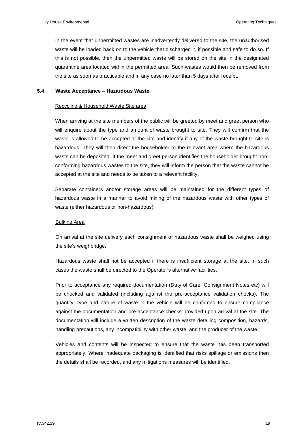In the event that unpermitted wastes are inadvertently delivered to the site, the unauthorised waste will be loaded back on to the vehicle that discharged it, if possible and safe to do so. If this is not possible, then the unpermitted waste will be stored on the site in the designated quarantine area located within the permitted area. Such wastes would then be removed from the site as soon as practicable and in any case no later than 5 days after receipt.

#### **5.4 Waste Acceptance – Hazardous Waste**

#### Recycling & Household Waste Site area

When arriving at the site members of the public will be greeted by meet and greet person who will enquire about the type and amount of waste brought to site. They will confirm that the waste is allowed to be accepted at the site and identify if any of the waste brought to site is hazardous. They will then direct the householder to the relevant area where the hazardous waste can be deposited. If the meet and greet person identifies the householder brought nonconforming hazardous wastes to the site, they will inform the person that the waste cannot be accepted at the site and needs to be taken to a relevant facility.

Separate containers and/or storage areas will be maintained for the different types of hazardous waste in a manner to avoid mixing of the hazardous waste with other types of waste (either hazardous or non-hazardous).

#### Bulking Area

On arrival at the site delivery each consignment of hazardous waste shall be weighed using the site's weighbridge.

Hazardous waste shall not be accepted if there is insufficient storage at the site. In such cases the waste shall be directed to the Operator's alternative facilities.

Prior to acceptance any required documentation (Duty of Care, Consignment Notes etc) will be checked and validated (including against the pre-acceptance validation checks). The quantity, type and nature of waste in the vehicle will be confirmed to ensure compliance against the documentation and pre-acceptance checks provided upon arrival at the site. The documentation will include a written description of the waste detailing composition, hazards, handling precautions, any incompatibility with other waste, and the producer of the waste.

Vehicles and contents will be inspected to ensure that the waste has been transported appropriately. Where inadequate packaging is identified that risks spillage or emissions then the details shall be recorded, and any mitigations measures will be identified.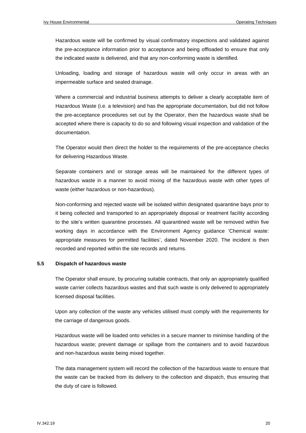Hazardous waste will be confirmed by visual confirmatory inspections and validated against the pre-acceptance information prior to acceptance and being offloaded to ensure that only the indicated waste is delivered, and that any non-conforming waste is identified.

Unloading, loading and storage of hazardous waste will only occur in areas with an impermeable surface and sealed drainage.

Where a commercial and industrial business attempts to deliver a clearly acceptable item of Hazardous Waste (i.e. a television) and has the appropriate documentation, but did not follow the pre-acceptance procedures set out by the Operator, then the hazardous waste shall be accepted where there is capacity to do so and following visual inspection and validation of the documentation.

The Operator would then direct the holder to the requirements of the pre-acceptance checks for delivering Hazardous Waste.

Separate containers and or storage areas will be maintained for the different types of hazardous waste in a manner to avoid mixing of the hazardous waste with other types of waste (either hazardous or non-hazardous).

Non-conforming and rejected waste will be isolated within designated quarantine bays prior to it being collected and transported to an appropriately disposal or treatment facility according to the site's written quarantine processes. All quarantined waste will be removed within five working days in accordance with the Environment Agency guidance 'Chemical waste: appropriate measures for permitted facilities', dated November 2020. The incident is then recorded and reported within the site records and returns.

#### **5.5 Dispatch of hazardous waste**

The Operator shall ensure, by procuring suitable contracts, that only an appropriately qualified waste carrier collects hazardous wastes and that such waste is only delivered to appropriately licensed disposal facilities.

Upon any collection of the waste any vehicles utilised must comply with the requirements for the carriage of dangerous goods.

Hazardous waste will be loaded onto vehicles in a secure manner to minimise handling of the hazardous waste; prevent damage or spillage from the containers and to avoid hazardous and non-hazardous waste being mixed together.

The data management system will record the collection of the hazardous waste to ensure that the waste can be tracked from its delivery to the collection and dispatch, thus ensuring that the duty of care is followed.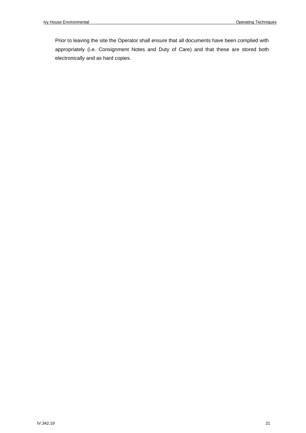Prior to leaving the site the Operator shall ensure that all documents have been complied with appropriately (i.e. Consignment Notes and Duty of Care) and that these are stored both electronically and as hard copies.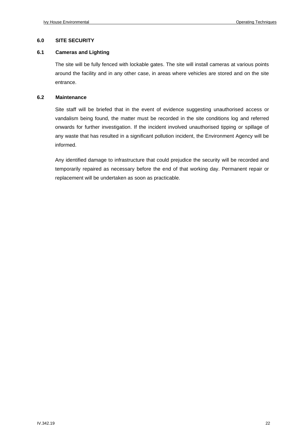#### **6.0 SITE SECURITY**

#### **6.1 Cameras and Lighting**

The site will be fully fenced with lockable gates. The site will install cameras at various points around the facility and in any other case, in areas where vehicles are stored and on the site entrance.

#### **6.2 Maintenance**

Site staff will be briefed that in the event of evidence suggesting unauthorised access or vandalism being found, the matter must be recorded in the site conditions log and referred onwards for further investigation. If the incident involved unauthorised tipping or spillage of any waste that has resulted in a significant pollution incident, the Environment Agency will be informed.

Any identified damage to infrastructure that could prejudice the security will be recorded and temporarily repaired as necessary before the end of that working day. Permanent repair or replacement will be undertaken as soon as practicable.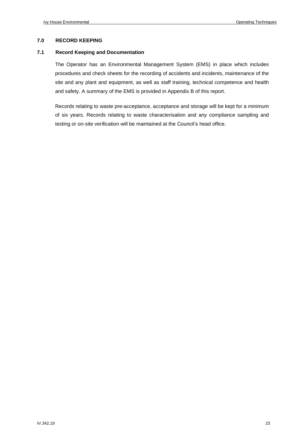#### **7.0 RECORD KEEPING**

#### **7.1 Record Keeping and Documentation**

The Operator has an Environmental Management System (EMS) in place which includes procedures and check sheets for the recording of accidents and incidents, maintenance of the site and any plant and equipment, as well as staff training, technical competence and health and safety. A summary of the EMS is provided in Appendix B of this report.

Records relating to waste pre-acceptance, acceptance and storage will be kept for a minimum of six years. Records relating to waste characterisation and any compliance sampling and testing or on-site verification will be maintained at the Council's head office.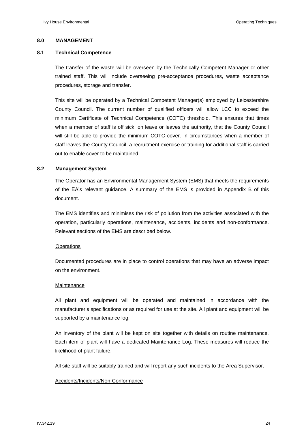#### **8.0 MANAGEMENT**

#### **8.1 Technical Competence**

The transfer of the waste will be overseen by the Technically Competent Manager or other trained staff. This will include overseeing pre-acceptance procedures, waste acceptance procedures, storage and transfer.

This site will be operated by a Technical Competent Manager(s) employed by Leicestershire County Council. The current number of qualified officers will allow LCC to exceed the minimum Certificate of Technical Competence (COTC) threshold. This ensures that times when a member of staff is off sick, on leave or leaves the authority, that the County Council will still be able to provide the minimum COTC cover. In circumstances when a member of staff leaves the County Council, a recruitment exercise or training for additional staff is carried out to enable cover to be maintained.

#### **8.2 Management System**

The Operator has an Environmental Management System (EMS) that meets the requirements of the EA's relevant guidance. A summary of the EMS is provided in Appendix B of this document.

The EMS identifies and minimises the risk of pollution from the activities associated with the operation, particularly operations, maintenance, accidents, incidents and non-conformance. Relevant sections of the EMS are described below.

#### **Operations**

Documented procedures are in place to control operations that may have an adverse impact on the environment.

#### **Maintenance**

All plant and equipment will be operated and maintained in accordance with the manufacturer's specifications or as required for use at the site. All plant and equipment will be supported by a maintenance log.

An inventory of the plant will be kept on site together with details on routine maintenance. Each item of plant will have a dedicated Maintenance Log. These measures will reduce the likelihood of plant failure.

All site staff will be suitably trained and will report any such incidents to the Area Supervisor.

#### Accidents/Incidents/Non-Conformance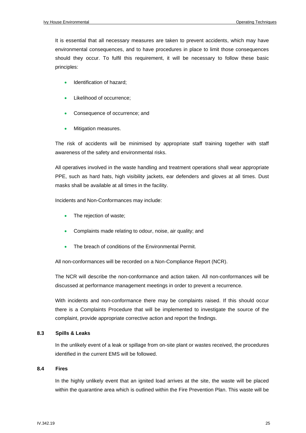It is essential that all necessary measures are taken to prevent accidents, which may have environmental consequences, and to have procedures in place to limit those consequences should they occur. To fulfil this requirement, it will be necessary to follow these basic principles:

- Identification of hazard;
- Likelihood of occurrence;
- Consequence of occurrence; and
- Mitigation measures.

The risk of accidents will be minimised by appropriate staff training together with staff awareness of the safety and environmental risks.

All operatives involved in the waste handling and treatment operations shall wear appropriate PPE, such as hard hats, high visibility jackets, ear defenders and gloves at all times. Dust masks shall be available at all times in the facility.

Incidents and Non-Conformances may include:

- The rejection of waste;
- Complaints made relating to odour, noise, air quality; and
- The breach of conditions of the Environmental Permit.

All non-conformances will be recorded on a Non-Compliance Report (NCR).

The NCR will describe the non-conformance and action taken. All non-conformances will be discussed at performance management meetings in order to prevent a recurrence.

With incidents and non-conformance there may be complaints raised. If this should occur there is a Complaints Procedure that will be implemented to investigate the source of the complaint, provide appropriate corrective action and report the findings.

#### **8.3 Spills & Leaks**

In the unlikely event of a leak or spillage from on-site plant or wastes received, the procedures identified in the current EMS will be followed.

#### **8.4 Fires**

In the highly unlikely event that an ignited load arrives at the site, the waste will be placed within the quarantine area which is outlined within the Fire Prevention Plan. This waste will be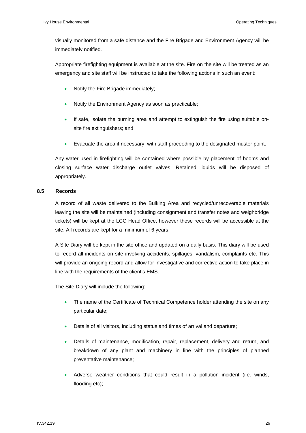visually monitored from a safe distance and the Fire Brigade and Environment Agency will be immediately notified.

Appropriate firefighting equipment is available at the site. Fire on the site will be treated as an emergency and site staff will be instructed to take the following actions in such an event:

- Notify the Fire Brigade immediately;
- Notify the Environment Agency as soon as practicable;
- If safe, isolate the burning area and attempt to extinguish the fire using suitable onsite fire extinguishers; and
- Evacuate the area if necessary, with staff proceeding to the designated muster point.

Any water used in firefighting will be contained where possible by placement of booms and closing surface water discharge outlet valves. Retained liquids will be disposed of appropriately.

#### **8.5 Records**

A record of all waste delivered to the Bulking Area and recycled/unrecoverable materials leaving the site will be maintained (including consignment and transfer notes and weighbridge tickets) will be kept at the LCC Head Office, however these records will be accessible at the site. All records are kept for a minimum of 6 years.

A Site Diary will be kept in the site office and updated on a daily basis. This diary will be used to record all incidents on site involving accidents, spillages, vandalism, complaints etc. This will provide an ongoing record and allow for investigative and corrective action to take place in line with the requirements of the client's EMS.

The Site Diary will include the following:

- The name of the Certificate of Technical Competence holder attending the site on any particular date;
- Details of all visitors, including status and times of arrival and departure;
- Details of maintenance, modification, repair, replacement, delivery and return, and breakdown of any plant and machinery in line with the principles of planned preventative maintenance;
- Adverse weather conditions that could result in a pollution incident (i.e. winds, flooding etc);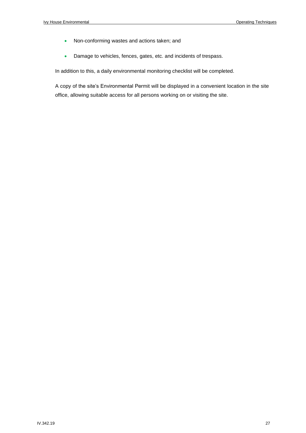- Non-conforming wastes and actions taken; and
- Damage to vehicles, fences, gates, etc. and incidents of trespass.

In addition to this, a daily environmental monitoring checklist will be completed.

A copy of the site's Environmental Permit will be displayed in a convenient location in the site office, allowing suitable access for all persons working on or visiting the site.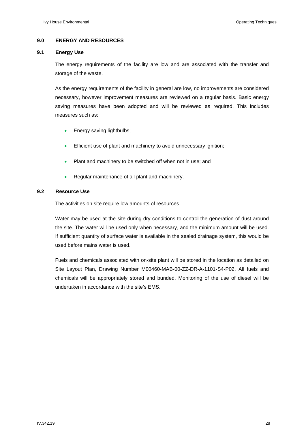#### **9.0 ENERGY AND RESOURCES**

#### **9.1 Energy Use**

The energy requirements of the facility are low and are associated with the transfer and storage of the waste.

As the energy requirements of the facility in general are low, no improvements are considered necessary, however improvement measures are reviewed on a regular basis. Basic energy saving measures have been adopted and will be reviewed as required. This includes measures such as:

- Energy saving lightbulbs;
- Efficient use of plant and machinery to avoid unnecessary ignition;
- Plant and machinery to be switched off when not in use; and
- Regular maintenance of all plant and machinery.

#### **9.2 Resource Use**

The activities on site require low amounts of resources.

Water may be used at the site during dry conditions to control the generation of dust around the site. The water will be used only when necessary, and the minimum amount will be used. If sufficient quantity of surface water is available in the sealed drainage system, this would be used before mains water is used.

Fuels and chemicals associated with on-site plant will be stored in the location as detailed on Site Layout Plan, Drawing Number M00460-MAB-00-ZZ-DR-A-1101-S4-P02. All fuels and chemicals will be appropriately stored and bunded. Monitoring of the use of diesel will be undertaken in accordance with the site's EMS.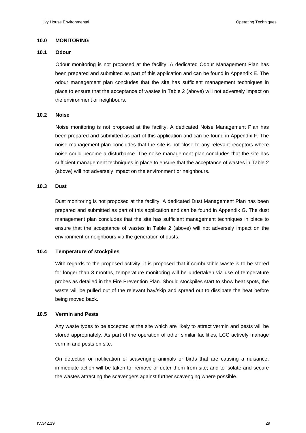#### **10.0 MONITORING**

#### **10.1 Odour**

Odour monitoring is not proposed at the facility. A dedicated Odour Management Plan has been prepared and submitted as part of this application and can be found in Appendix E. The odour management plan concludes that the site has sufficient management techniques in place to ensure that the acceptance of wastes in Table 2 (above) will not adversely impact on the environment or neighbours.

#### **10.2 Noise**

Noise monitoring is not proposed at the facility. A dedicated Noise Management Plan has been prepared and submitted as part of this application and can be found in Appendix F. The noise management plan concludes that the site is not close to any relevant receptors where noise could become a disturbance. The noise management plan concludes that the site has sufficient management techniques in place to ensure that the acceptance of wastes in Table 2 (above) will not adversely impact on the environment or neighbours.

#### **10.3 Dust**

Dust monitoring is not proposed at the facility. A dedicated Dust Management Plan has been prepared and submitted as part of this application and can be found in Appendix G. The dust management plan concludes that the site has sufficient management techniques in place to ensure that the acceptance of wastes in Table 2 (above) will not adversely impact on the environment or neighbours via the generation of dusts.

#### **10.4 Temperature of stockpiles**

With regards to the proposed activity, it is proposed that if combustible waste is to be stored for longer than 3 months, temperature monitoring will be undertaken via use of temperature probes as detailed in the Fire Prevention Plan. Should stockpiles start to show heat spots, the waste will be pulled out of the relevant bay/skip and spread out to dissipate the heat before being moved back.

#### **10.5 Vermin and Pests**

Any waste types to be accepted at the site which are likely to attract vermin and pests will be stored appropriately. As part of the operation of other similar facilities, LCC actively manage vermin and pests on site.

On detection or notification of scavenging animals or birds that are causing a nuisance, immediate action will be taken to; remove or deter them from site; and to isolate and secure the wastes attracting the scavengers against further scavenging where possible.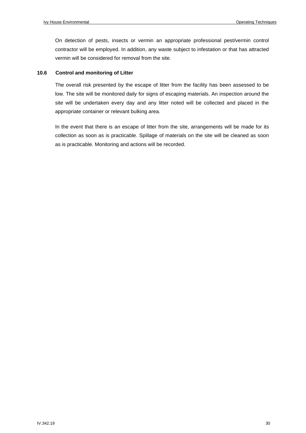On detection of pests, insects or vermin an appropriate professional pest/vermin control contractor will be employed. In addition, any waste subject to infestation or that has attracted vermin will be considered for removal from the site.

#### **10.6 Control and monitoring of Litter**

The overall risk presented by the escape of litter from the facility has been assessed to be low. The site will be monitored daily for signs of escaping materials. An inspection around the site will be undertaken every day and any litter noted will be collected and placed in the appropriate container or relevant bulking area.

In the event that there is an escape of litter from the site, arrangements will be made for its collection as soon as is practicable. Spillage of materials on the site will be cleaned as soon as is practicable. Monitoring and actions will be recorded.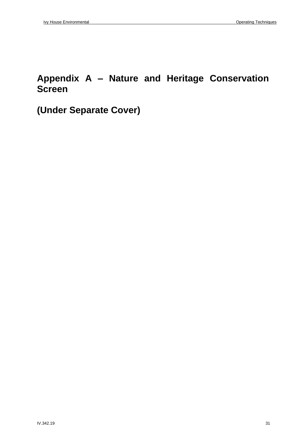### **Appendix A – Nature and Heritage Conservation Screen**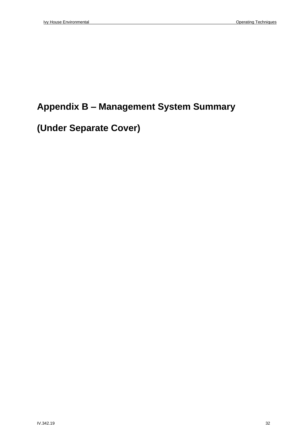# **Appendix B – Management System Summary**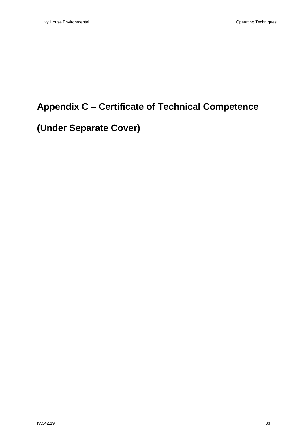# **Appendix C – Certificate of Technical Competence**